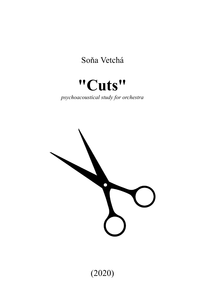# **"Cuts"**

*psychoacoustical study for orchestra*







## Soňa Vetchá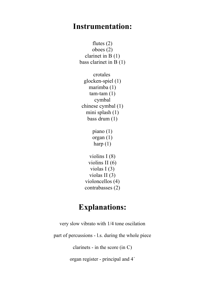#### **Instrumentation:**

flutes (2) oboes (2) clarinet in B (1) bass clarinet in B (1)

crotales glocken-spiel (1) marimba (1) tam-tam (1) cymbal chinese cymbal (1) mini splash (1) bass drum (1)

> piano (1) organ (1) harp (1)

violins I (8) violins II (6) violas I (3) violas II (3) violoncellos (4) contrabasses (2)

### **Explanations:**

very slow vibrato with 1/4 tone oscilation

part of percussions - l.s. during the whole piece

clarinets - in the score (in C)

organ register - principal and 4´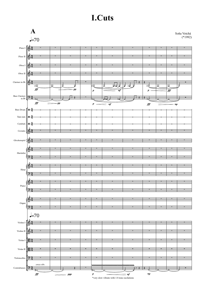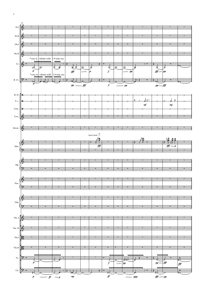

3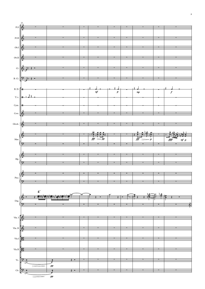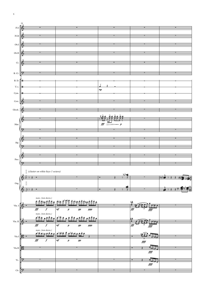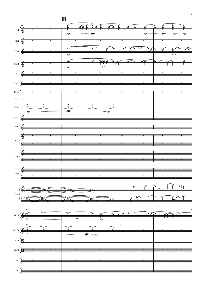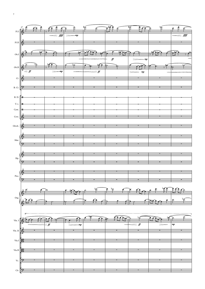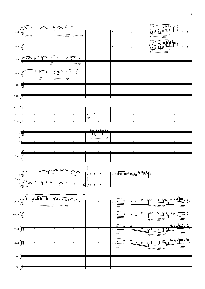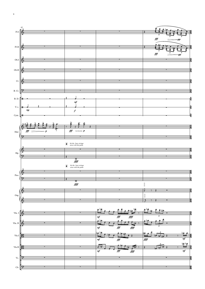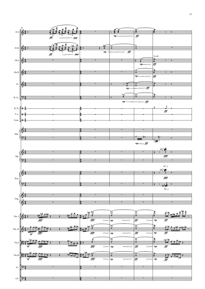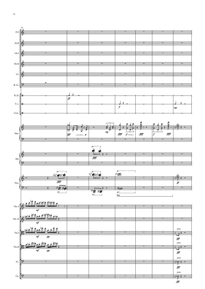

11

fff<sup>f</sup>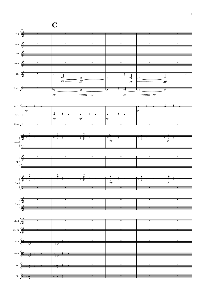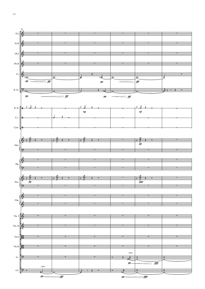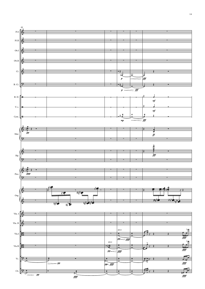

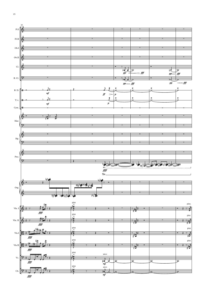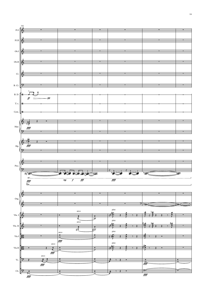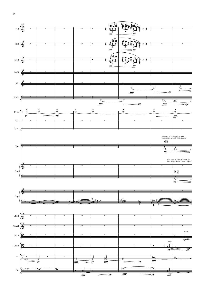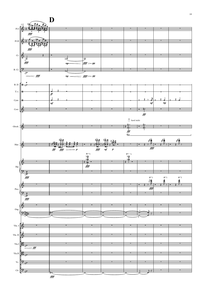

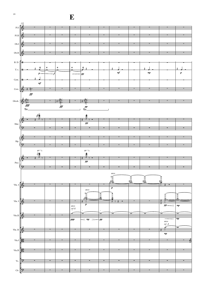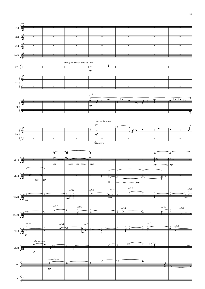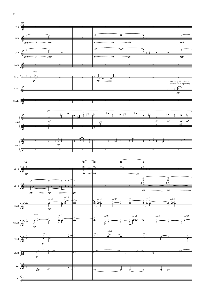

21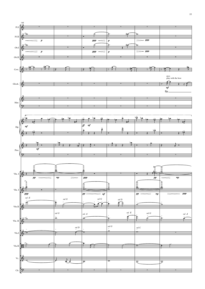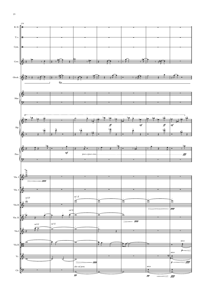